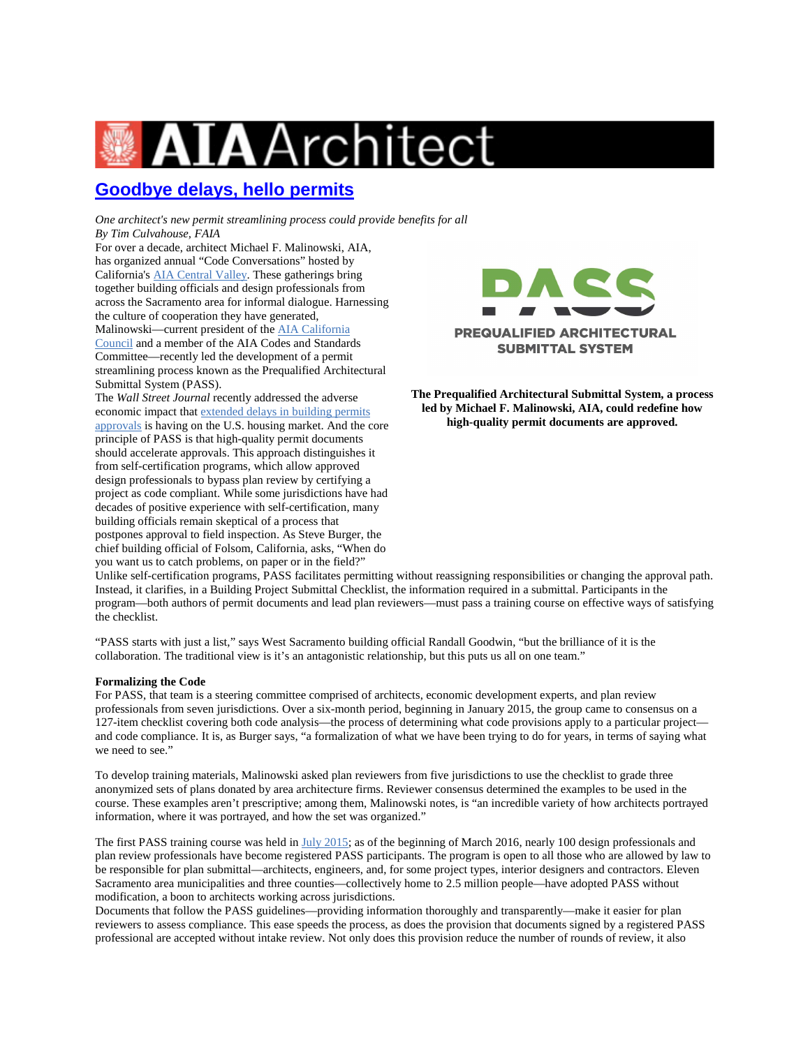

## **Goodbye delays, hello permits**

*One architect's new permit streamlining process could provide benefits for all By Tim Culvahouse, FAIA*

For over a decade, architect Michael F. Malinowski, AIA, has organized annual "Code Conversations" hosted by California's AIA Central Valley. These gatherings bring together building officials and design professionals from across the Sacramento area for informal dialogue. Harnessing the culture of cooperation they have generated, Malinowski—current president of the AIA California Council and a member of the AIA Codes and Standards Committee—recently led the development of a permit

streamlining process known as the Prequalified Architectural Submittal System (PASS).

The *Wall Street Journal* recently addressed the adverse economic impact that extended delays in building permits approvals is having on the U.S. housing market. And the core principle of PASS is that high-quality permit documents should accelerate approvals. This approach distinguishes it from self-certification programs, which allow approved design professionals to bypass plan review by certifying a project as code compliant. While some jurisdictions have had decades of positive experience with self-certification, many building officials remain skeptical of a process that postpones approval to field inspection. As Steve Burger, the chief building official of Folsom, California, asks, "When do you want us to catch problems, on paper or in the field?"



**PREQUALIFIED ARCHITECTURAL SUBMITTAL SYSTEM** 

**The Prequalified Architectural Submittal System, a process led by Michael F. Malinowski, AIA, could redefine how high-quality permit documents are approved.**

Unlike self-certification programs, PASS facilitates permitting without reassigning responsibilities or changing the approval path. Instead, it clarifies, in a Building Project Submittal Checklist, the information required in a submittal. Participants in the program—both authors of permit documents and lead plan reviewers—must pass a training course on effective ways of satisfying the checklist.

"PASS starts with just a list," says West Sacramento building official Randall Goodwin, "but the brilliance of it is the collaboration. The traditional view is it's an antagonistic relationship, but this puts us all on one team."

## **Formalizing the Code**

For PASS, that team is a steering committee comprised of architects, economic development experts, and plan review professionals from seven jurisdictions. Over a six-month period, beginning in January 2015, the group came to consensus on a 127-item checklist covering both code analysis—the process of determining what code provisions apply to a particular project and code compliance. It is, as Burger says, "a formalization of what we have been trying to do for years, in terms of saying what we need to see."

To develop training materials, Malinowski asked plan reviewers from five jurisdictions to use the checklist to grade three anonymized sets of plans donated by area architecture firms. Reviewer consensus determined the examples to be used in the course. These examples aren't prescriptive; among them, Malinowski notes, is "an incredible variety of how architects portrayed information, where it was portrayed, and how the set was organized."

The first PASS training course was held in July 2015; as of the beginning of March 2016, nearly 100 design professionals and plan review professionals have become registered PASS participants. The program is open to all those who are allowed by law to be responsible for plan submittal—architects, engineers, and, for some project types, interior designers and contractors. Eleven Sacramento area municipalities and three counties—collectively home to 2.5 million people—have adopted PASS without modification, a boon to architects working across jurisdictions.

Documents that follow the PASS guidelines—providing information thoroughly and transparently—make it easier for plan reviewers to assess compliance. This ease speeds the process, as does the provision that documents signed by a registered PASS professional are accepted without intake review. Not only does this provision reduce the number of rounds of review, it also